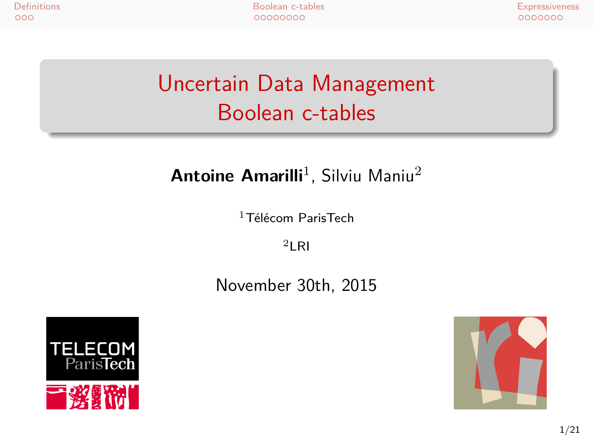## Uncertain Data Management Boolean c-tables

#### **Antoine Amarilli**<sup>1</sup>, Silviu Maniu<sup>2</sup>

 $1$ Télécom ParisTech  $2$ LRI

November 30th, 2015



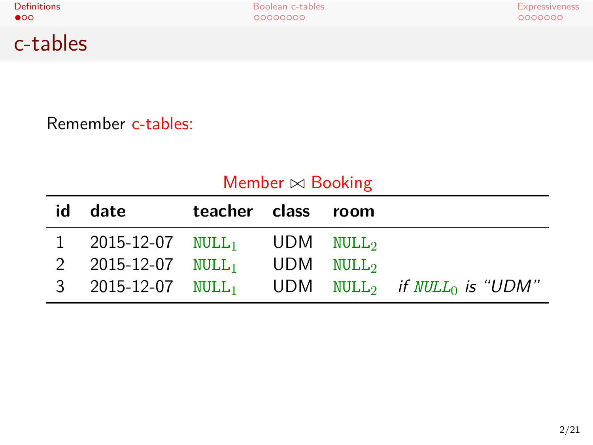c-tables

Remember c-tables:

| Member $\bowtie$ Booking |                                    |               |      |                   |                                   |  |
|--------------------------|------------------------------------|---------------|------|-------------------|-----------------------------------|--|
| id                       | date                               | teacher class |      | room              |                                   |  |
|                          | $2015 - 12 - 07$ NULL <sub>1</sub> |               | UDM. | NULL <sub>2</sub> |                                   |  |
| 2                        | $2015 - 12 - 07$ NULL <sub>1</sub> |               | UDM  | $\texttt{NULL}_2$ |                                   |  |
| 3                        | $2015 - 12 - 07$ NULL <sub>1</sub> |               |      |                   | UDM $NULL_2$ if $NULL_0$ is "UDM" |  |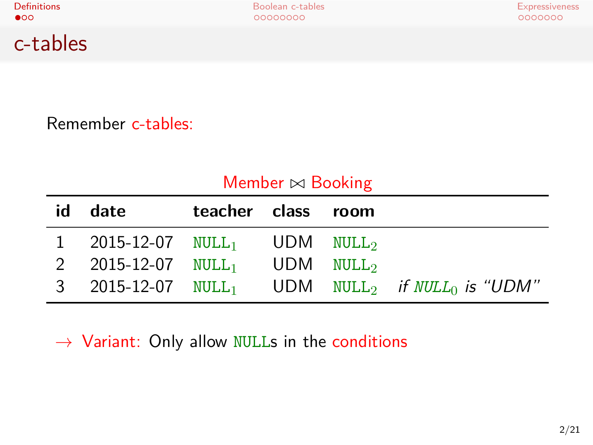c-tables

Definitions Boolean c-tables Expressiveness

Remember c-tables:

| Member $\bowtie$ Booking |                                                    |               |  |      |                                                                                  |  |
|--------------------------|----------------------------------------------------|---------------|--|------|----------------------------------------------------------------------------------|--|
| id                       | date                                               | teacher class |  | room |                                                                                  |  |
|                          | 2015-12-07 NULL <sub>1</sub> UDM NULL <sub>2</sub> |               |  |      |                                                                                  |  |
| 2                        | 2015-12-07 $\text{NULL}_1$ UDM $\text{NULL}_2$     |               |  |      |                                                                                  |  |
| 3                        |                                                    |               |  |      | 2015-12-07 NULL <sub>1</sub> UDM NULL <sub>2</sub> if NULL <sub>0</sub> is "UDM" |  |

*→* Variant: Only allow NULLs in the conditions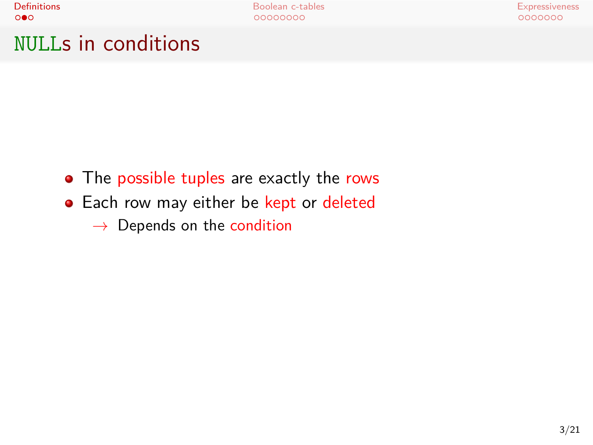NULLs in conditions

- The possible tuples are exactly the rows
- Each row may either be kept or deleted
	- *→* Depends on the condition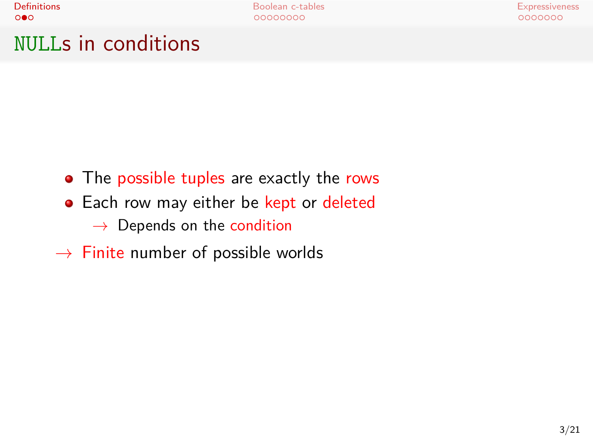NULLs in conditions

- The possible tuples are exactly the rows
- Each row may either be kept or deleted *→* Depends on the condition
- *→* Finite number of possible worlds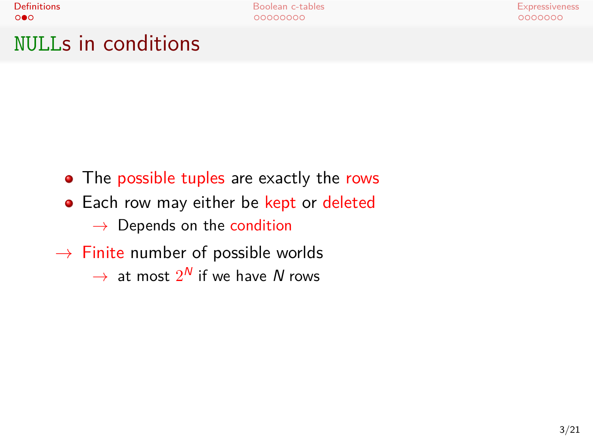**Definitions** Boolean c-tables Boolean c-tables Expressiveness<br>
■ Expressiveness escape and a coopoolean c-tables experience and a coopoolean c-tables experience and a coopool

NULLs in conditions

- The possible tuples are exactly the rows
- Each row may either be kept or deleted *→* Depends on the condition
- *→* Finite number of possible worlds
	- $\rightarrow$  at most  $2^N$  if we have  $N$  rows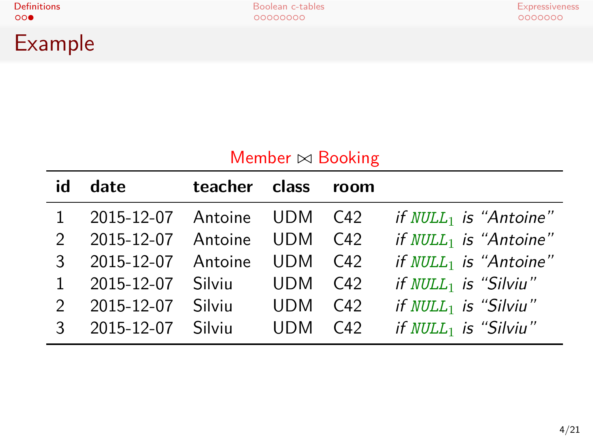**Definitions Expressiveness Boolean c-tables Expressiveness Expressiveness**<br> **Boolean c-tables** Boolean c-tables experiences experiences experiences experiences experiences experiences experiences experiences experiences

| <b>Example</b> |  |
|----------------|--|
|                |  |

| Member $\bowtie$ Booking |            |         |            |          |                          |  |
|--------------------------|------------|---------|------------|----------|--------------------------|--|
| id                       | date       | teacher | class      | room     |                          |  |
|                          | 2015-12-07 | Antoine | UDM.       | C42      | if $NULL_1$ is "Antoine" |  |
| $\mathcal{P}$            | 2015-12-07 | Antoine | UDM        | C42      | if $NULL_1$ is "Antoine" |  |
| 3                        | 2015-12-07 | Antoine | UDM        | C42      | if $NULL_1$ is "Antoine" |  |
|                          | 2015-12-07 | Silviu  | UDM        | C42      | if $NULL_1$ is "Silviu"  |  |
| $\mathcal{P}$            | 2015-12-07 | Silviu  | UDM        | $C_{42}$ | if $NULL_1$ is "Silviu"  |  |
| २                        | 2015-12-07 | Silviu  | <b>UDM</b> | C42      | if $NULL_1$ is "Silviu"  |  |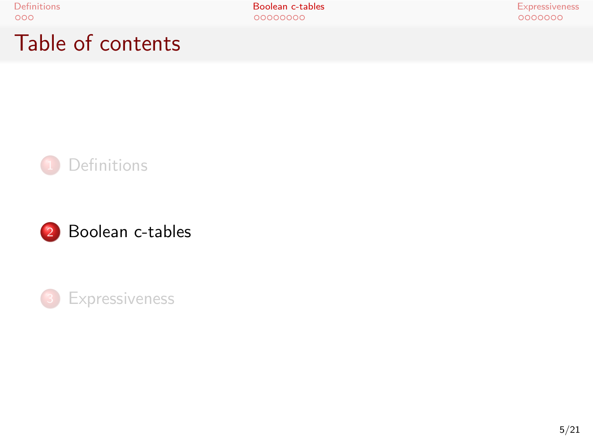Table of contents



2 Boolean c-tables

<sup>3</sup> Expressiveness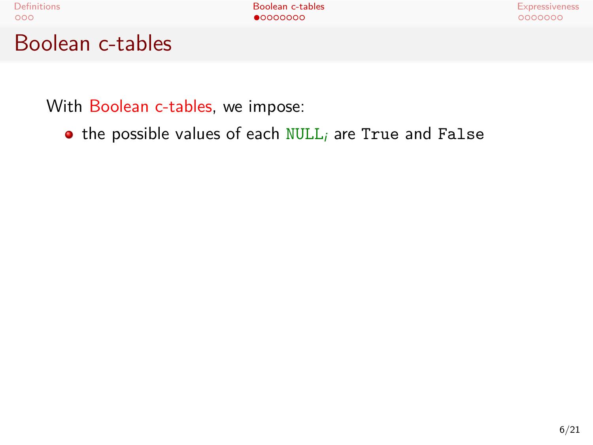Boolean c-tables

With Boolean c-tables, we impose:

**•** the possible values of each NULL<sub>i</sub> are True and False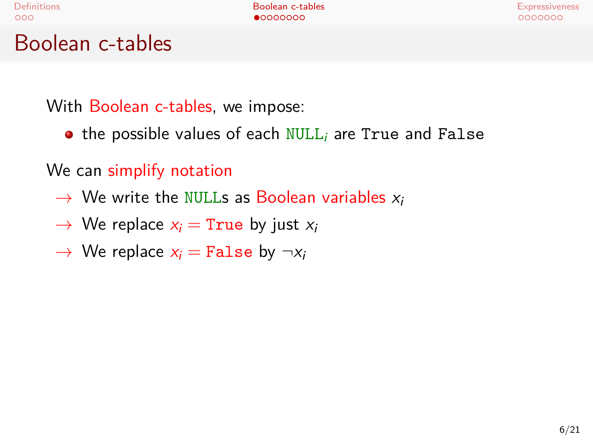Boolean c-tables

With Boolean c-tables, we impose:

• the possible values of each NULL<sub>i</sub> are True and False

We can simplify notation

- *→* We write the NULLs as Boolean variables *x<sup>i</sup>*
- $\rightarrow$  We replace  $x_i$  = True by just  $x_i$
- $\rightarrow$  We replace  $x_i =$  False by  $\neg x_i$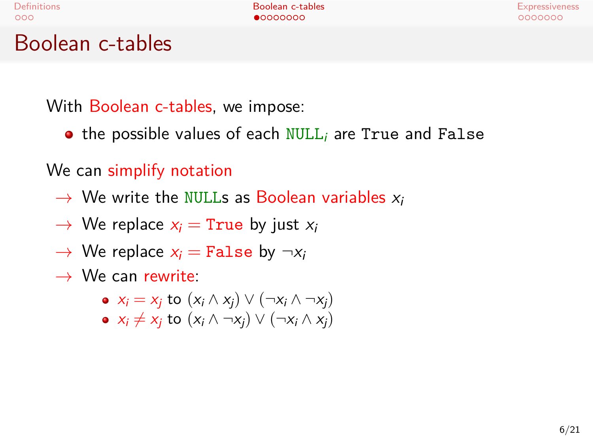Boolean c-tables

With Boolean c-tables, we impose:

the possible values of each NULL*<sup>i</sup>* are True and False

We can simplify notation

- *→* We write the NULLs as Boolean variables *x<sup>i</sup>*
- $\rightarrow$  We replace  $x_i$  = True by just  $x_i$
- $\rightarrow$  We replace  $x_i =$  False by  $\neg x_i$
- *→* We can rewrite:
	- $\bullet$  *x<sub>i</sub>* = *x<sub>j</sub>* to (*x<sub>i</sub>* ∧ *x<sub>j</sub>*)  $\vee$  (*¬x<sub>i</sub>* ∧ *¬x<sub>j</sub>*)
	- $\bullet$  *x<sub>i</sub>*  $\neq$  *x<sub>i</sub>* to (*x<sub>i</sub>* ∧ *¬x<sub>i</sub>*)  $\vee$  (*¬x<sub>i</sub>* ∧ *x<sub>i</sub>*)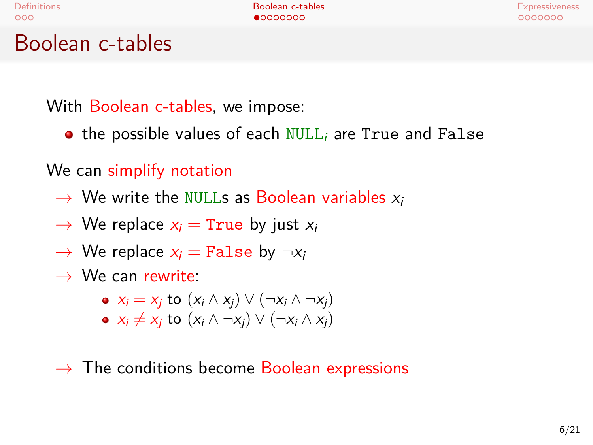Boolean c-tables

With Boolean c-tables, we impose:

**•** the possible values of each NULL<sub>i</sub> are True and False

We can simplify notation

- *→* We write the NULLs as Boolean variables *x<sup>i</sup>*
- $\rightarrow$  We replace  $x_i$  = True by just  $x_i$
- $\rightarrow$  We replace  $x_i$  = False by  $\neg x_i$
- *→* We can rewrite:
	- $x_i = x_j$  to  $(x_i \land x_j) \lor (\neg x_i \land \neg x_j)$
	- $\bullet$  *x<sub>i</sub>*  $\neq$  *x<sub>i</sub>* to (*x<sub>i</sub>* ∧ *¬x<sub>i</sub>*)  $\vee$  (*¬x<sub>i</sub>* ∧ *x<sub>i</sub>*)
- *→* The conditions become Boolean expressions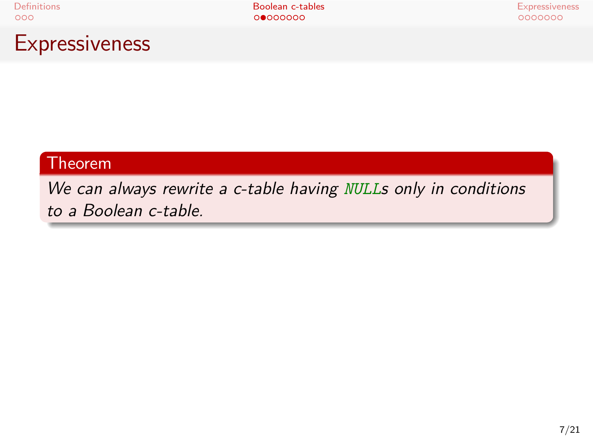Expressiveness

Theorem

*We can always rewrite a c-table having NULLs only in conditions to a Boolean c-table.*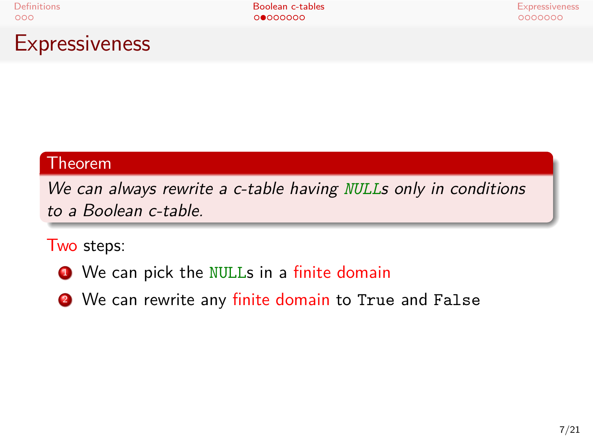**Definitions and the control of the Boolean c-tables** and the control of the Expressiveness experiment and the control of the control of the control of the control of the control of the control of the control of the cont

Expressiveness

#### Theorem

*We can always rewrite a c-table having NULLs only in conditions to a Boolean c-table.*

Two steps:

- **1** We can pick the NULLs in a finite domain
- <sup>2</sup> We can rewrite any finite domain to True and False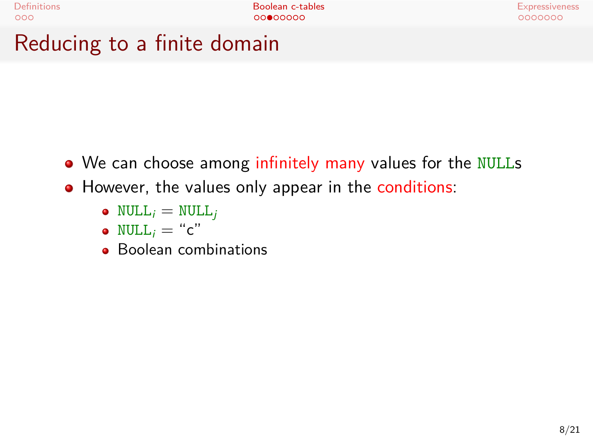Reducing to a finite domain

- We can choose among infinitely many values for the NULLs
- However, the values only appear in the conditions:
	- $NULL_i = NULL_j$
	- NULL<sub>i</sub> = "c"
	- Boolean combinations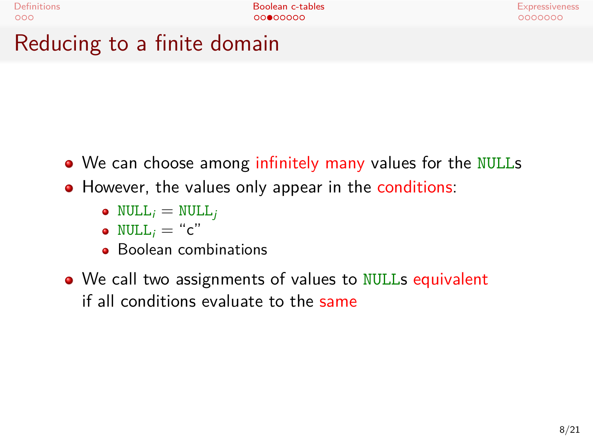Reducing to a finite domain

- We can choose among infinitely many values for the NULLs
- However, the values only appear in the conditions:
	- $NULL_i = NULL_j$
	- $NULL_i = "c"$
	- Boolean combinations
- We call two assignments of values to NULLs equivalent if all conditions evaluate to the same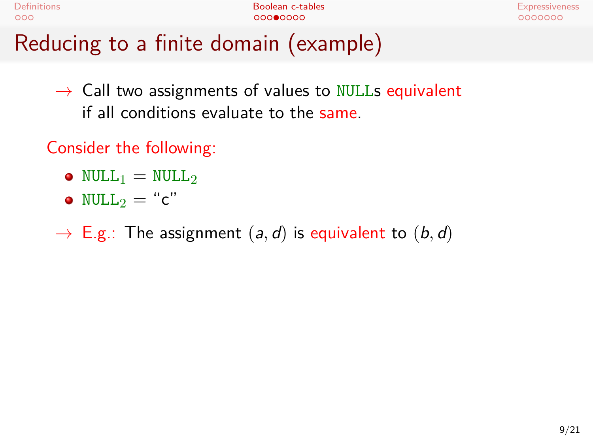| Definitions                           | Boolean c-tables | Expressiveness |
|---------------------------------------|------------------|----------------|
| 000                                   | 00000000         | 0000000        |
| Reducing to a finite domain (example) |                  |                |

*→* Call two assignments of values to NULLs equivalent if all conditions evaluate to the same.

- $\bullet$  NULL<sub>1</sub> = NULL<sub>2</sub>
- $\bullet$  NULL<sub>2</sub> = "c"
- *→* E.g.: The assignment (*a, d*) is equivalent to (*b, d*)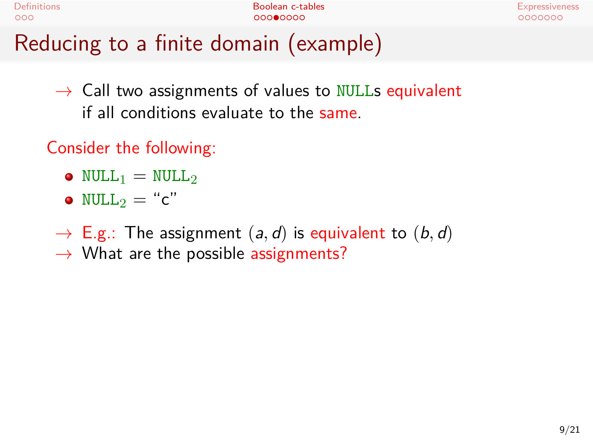| efinition |  |
|-----------|--|
|           |  |

Definitions and the companion of the Boolean c-tables and the companion of the Expressiveness<br>
Ω το προσφαλίδα του προσφαλίδα του προσφαλίδα του προσφαλίδα του προσφαλίδα του προσφαλίδα του προσφαλίδα του<br>
Προσφαλίδα του

## Reducing to a finite domain (example)

*→* Call two assignments of values to NULLs equivalent if all conditions evaluate to the same.

- $NULL_1 = NULL_2$
- $\bullet$  NULL<sub>2</sub> = "c"
- *→* E.g.: The assignment (*a, d*) is equivalent to (*b, d*)
- *→* What are the possible assignments?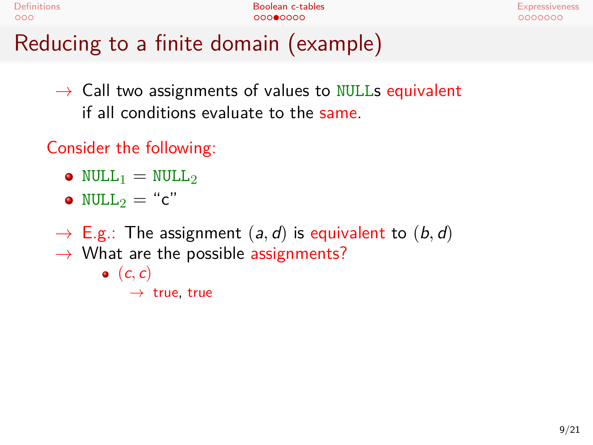| Definitions                           | Boolean c-tables | Expressiveness |
|---------------------------------------|------------------|----------------|
| റററ                                   | 00000000         | 0000000        |
| Reducing to a finite domain (example) |                  |                |

*→* Call two assignments of values to NULLs equivalent if all conditions evaluate to the same.

- $\bullet$  NULL<sub>1</sub> = NULL<sub>2</sub>
- $NULL_2 = "c"$
- *→* E.g.: The assignment (*a, d*) is equivalent to (*b, d*)
- *→* What are the possible assignments?
	- $\bullet$   $(c, c)$

```
→ true, true
```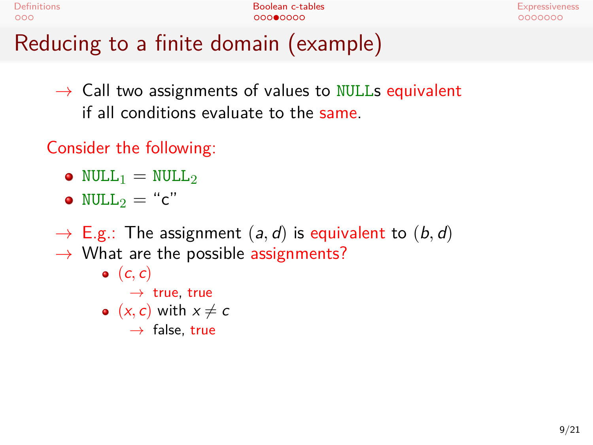Definitions and the companion of the Boolean c-tables and the companion of the Expressiveness<br>
Ω το προσφαλίδα του προσφαλίδα του προσφαλίδα του προσφαλίδα του προσφαλίδα του προσφαλίδα του προσφαλίδα του<br>
Προσφαλίδα του

## Reducing to a finite domain (example)

*→* Call two assignments of values to NULLs equivalent if all conditions evaluate to the same.

- $\bullet$  NULL<sub>1</sub> = NULL<sub>2</sub>
- $NULL_2 = "c"$
- *→* E.g.: The assignment (*a, d*) is equivalent to (*b, d*)
- *→* What are the possible assignments?
	- $\bullet$   $(c, c)$
	- *→* true, true •  $(x, c)$  with  $x \neq c$ 
		- *→* false, true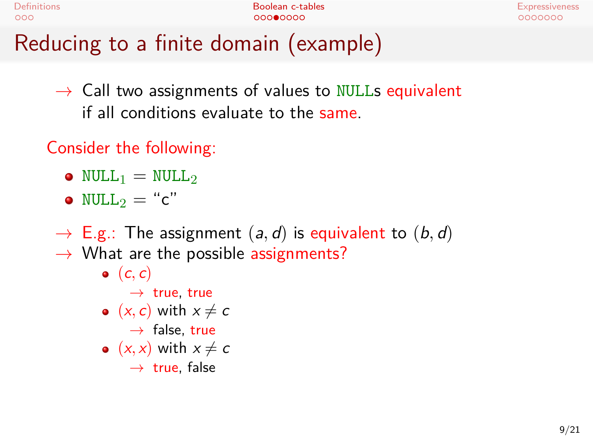Definitions and the companions and the Boolean c-tables and the companions occurs and the Expressiveness and the Expressiveness occurs and the companions of the companions of the companions of the companions of the compa

# Reducing to a finite domain (example)

*→* Call two assignments of values to NULLs equivalent if all conditions evaluate to the same.

- $\bullet$  NULL<sub>1</sub> = NULL<sub>2</sub>
- $NULL_2 = "c"$
- *→* E.g.: The assignment (*a, d*) is equivalent to (*b, d*)
- *→* What are the possible assignments?
	- $\bullet$   $(c, c)$ 
		- *→* true, true
	- $(x, c)$  with  $x \neq c$ 
		- *→* false, true
	- $(x, x)$  with  $x \neq c$ 
		- *→* true, false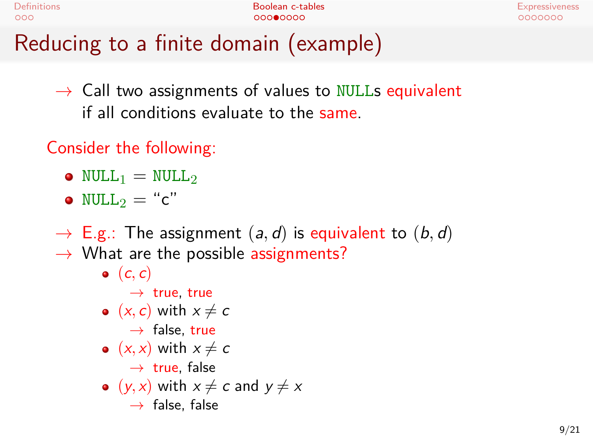|        |  | ٧ |  |
|--------|--|---|--|
| ۰<br>٧ |  |   |  |

## Reducing to a finite domain (example)

*→* Call two assignments of values to NULLs equivalent if all conditions evaluate to the same.

- $\bullet$  NULL<sub>1</sub> = NULL<sub>2</sub>
- $NULL_2 = "c"$
- $\rightarrow$  E.g.: The assignment  $(a, d)$  is equivalent to  $(b, d)$
- *→* What are the possible assignments?
	- $\bullet$   $(c, c)$ 
		- *→* true, true
	- $(x, c)$  with  $x \neq c$
	- *→* false, true
	- $(x, x)$  with  $x \neq c$
	- *→* true, false
	- $(y, x)$  with  $x \neq c$  and  $y \neq x$ *→* false, false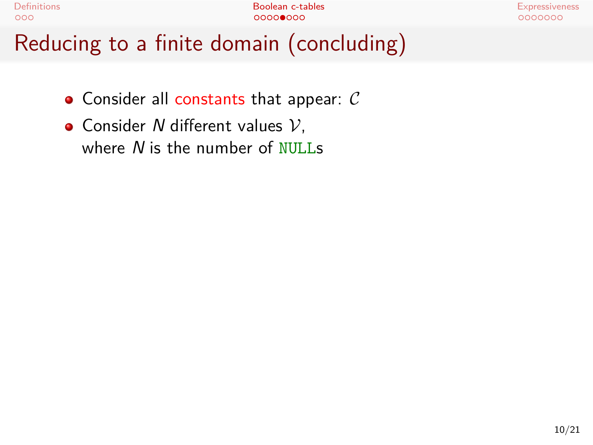

- Consider all constants that appear: *C*
- Consider *N* different values *V*, where *N* is the number of NULLs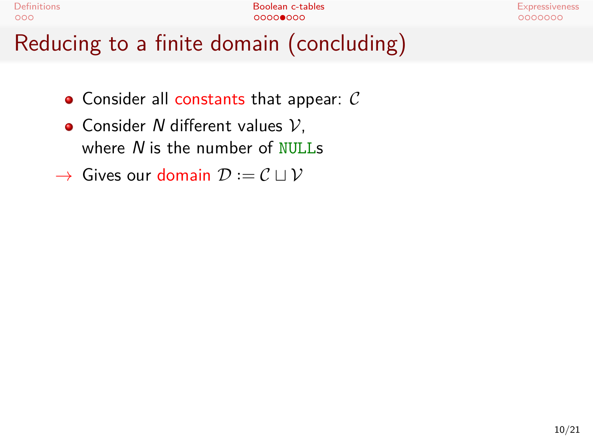| <b>Definitions</b>                       | Boolean c-tables | Expressiveness |
|------------------------------------------|------------------|----------------|
| 000                                      | 00000000         | 0000000        |
| Reducing to a finite domain (concluding) |                  |                |

- Consider all constants that appear: *C*
- Consider *N* different values *V*, where *N* is the number of NULLs
- *→* Gives our domain *D · ·*<sup>=</sup> *C ⊔ V*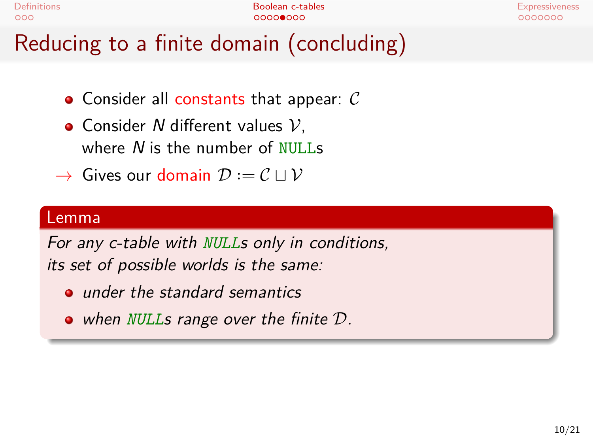| Definitions                              | Boolean c-tables | <b>Expressiveness</b> |
|------------------------------------------|------------------|-----------------------|
| 000                                      | 00000000         | 0000000               |
| Reducing to a finite domain (concluding) |                  |                       |

- Consider all constants that appear: *C*
- Consider *N* different values *V*, where *N* is the number of NULLs
- *→* Gives our domain *D · ·*<sup>=</sup> *C ⊔ V*

#### Lemma

*For any c-table with NULLs only in conditions, its set of possible worlds is the same:*

- *under the standard semantics*
- *when NULLs range over the finite D.*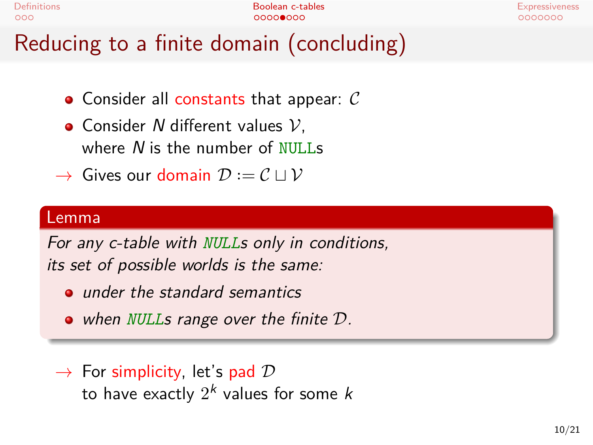| Definitions                              | Boolean c-tables | <b>Expressiveness</b> |
|------------------------------------------|------------------|-----------------------|
| 000                                      | 00000000         | 0000000               |
| Reducing to a finite domain (concluding) |                  |                       |

- Consider all constants that appear: *C*
- Consider *N* different values *V*, where *N* is the number of NULLs
- *→* Gives our domain *D · ·*<sup>=</sup> *C ⊔ V*

#### Lemma

*For any c-table with NULLs only in conditions, its set of possible worlds is the same:*

- *under the standard semantics*
- *when NULLs range over the finite D.*
- *→* For simplicity, let's pad *D* to have exactly 2 *k* values for some *k*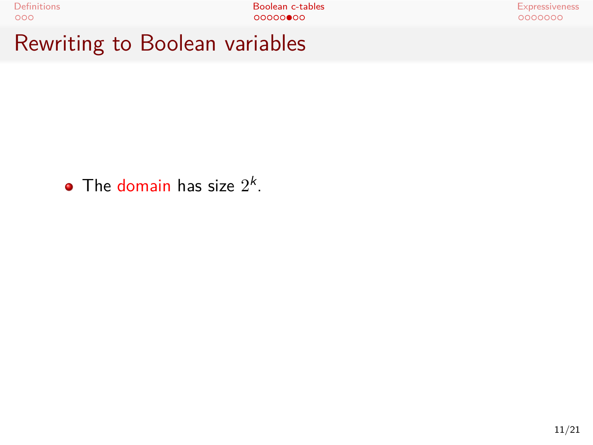Rewriting to Boolean variables

The domain has size  $2^k$ .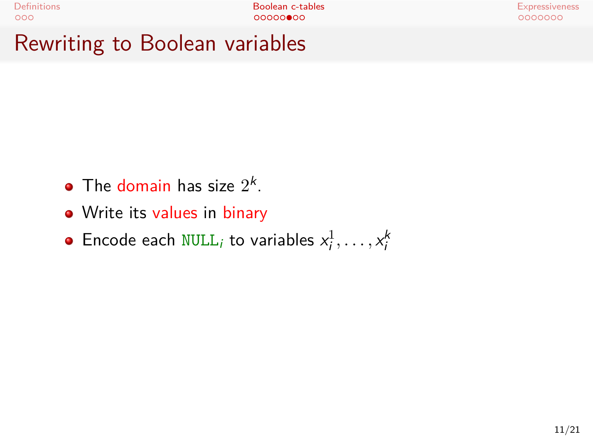# Rewriting to Boolean variables

- The domain has size  $2^k$ .
- Write its values in binary
- Encode each  $\texttt{NULL}_i$  to variables  $x_i^1, \ldots, x_i^k$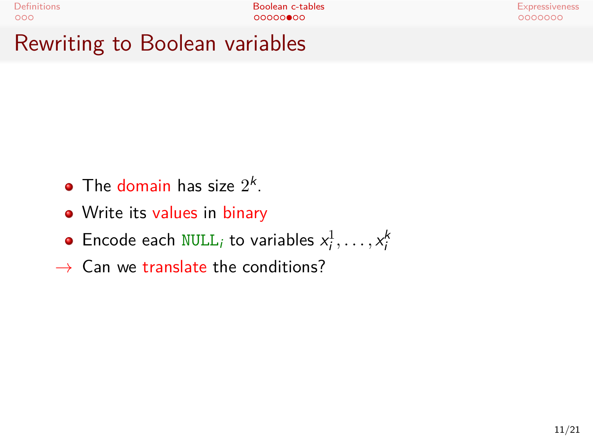# Rewriting to Boolean variables

- The domain has size  $2^k$ .
- Write its values in binary
- Encode each  $\texttt{NULL}_i$  to variables  $x_i^1, \ldots, x_i^k$
- *→* Can we translate the conditions?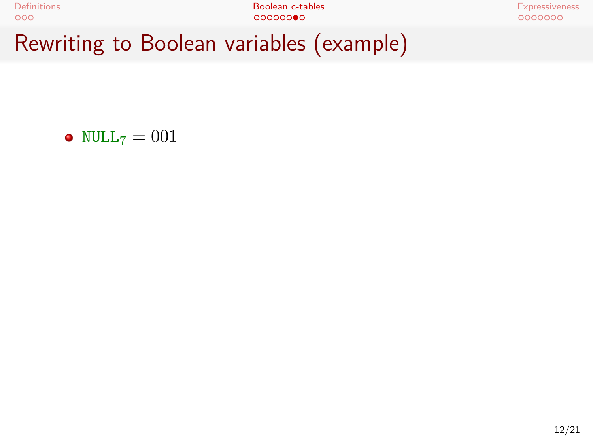Definitions Boolean c-tables Expressiveness Rewriting to Boolean variables (example)

•  $NULL_7 = 001$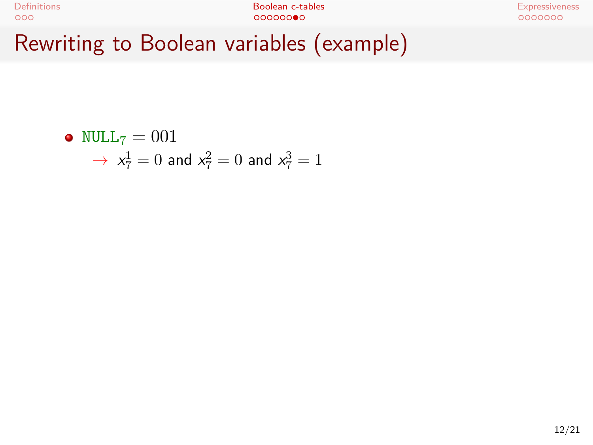

\n- NULL<sub>7</sub> = 001
\n- $$
\rightarrow x_7^1 = 0
$$
 and  $x_7^2 = 0$  and  $x_7^3 = 1$
\n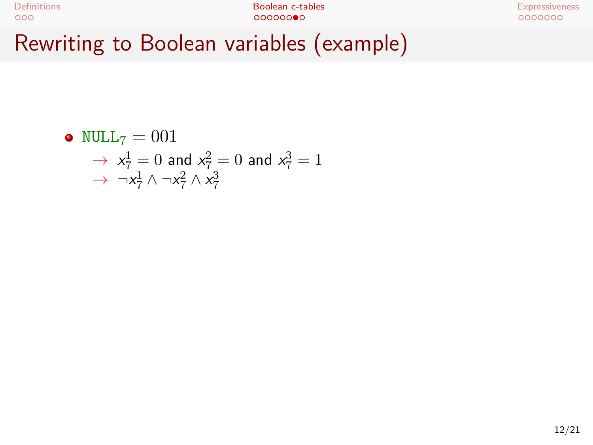| <b>Definitions</b>                       | Boolean c-tables | Expressiveness |
|------------------------------------------|------------------|----------------|
| 000                                      | 000000           | 0000000        |
| Rewriting to Boolean variables (example) |                  |                |

• NULL<sub>7</sub> = 001  
\n
$$
\rightarrow x_7^1 = 0
$$
 and  $x_7^2 = 0$  and  $x_7^3 = 1$   
\n $\rightarrow \neg x_7^1 \land \neg x_7^2 \land x_7^3$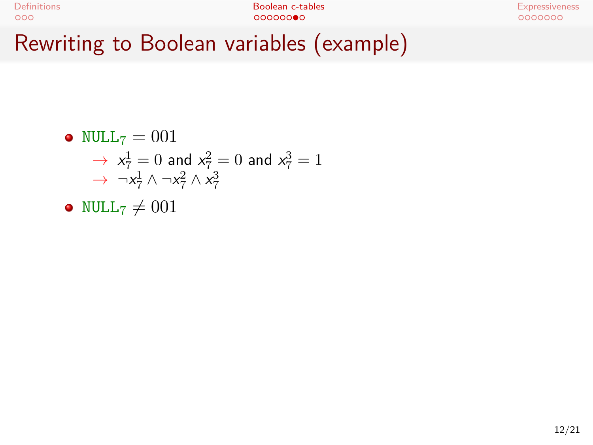| <b>Definitions</b>                       | Boolean c-tables | Expressiveness |
|------------------------------------------|------------------|----------------|
| 000                                      | 000000           | 0000000        |
| Rewriting to Boolean variables (example) |                  |                |

• NULL<sub>7</sub> = 001  
\n
$$
\rightarrow x_7^1 = 0
$$
 and  $x_7^2 = 0$  and  $x_7^3 = 1$   
\n $\rightarrow \neg x_7^1 \land \neg x_7^2 \land x_7^3$ 

• NULL<sub>7</sub> 
$$
\neq
$$
 001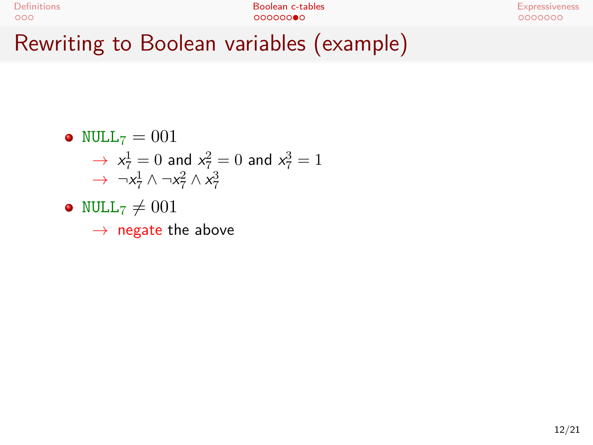| Definitions                              | Boolean c-tables | Expressiveness |
|------------------------------------------|------------------|----------------|
| 000                                      | 000000           | 0000000        |
| Rewriting to Boolean variables (example) |                  |                |

• NULL<sub>7</sub> = 001  
\n
$$
\rightarrow x_7^1 = 0
$$
 and  $x_7^2 = 0$  and  $x_7^3 = 1$ 

$$
\rightarrow \neg x_7^1 \wedge \neg x_7^2 \wedge x_7^3
$$

• NULL<sub>7</sub> 
$$
\neq
$$
 001

*→* negate the above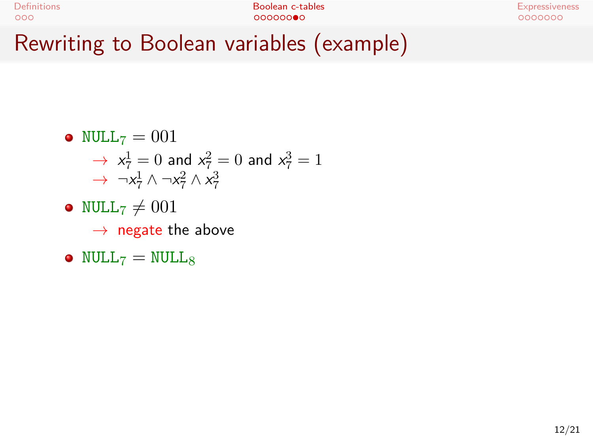| Definitions                              | Boolean c-tables | <b>Expressiveness</b> |
|------------------------------------------|------------------|-----------------------|
| 000                                      | 000000           | 0000000               |
| Rewriting to Boolean variables (example) |                  |                       |

 $\bullet$  NULL<sub>7</sub> = 001

$$
\rightarrow x_7^1 = 0 \text{ and } x_7^2 = 0 \text{ and } x_7^3 = 1
$$
  

$$
\rightarrow \neg x_7^1 \land \neg x_7^2 \land x_7^3
$$

- NULL<sub>7</sub>  $\neq$  001 *→* negate the above
- $NULL_7 = NULL_8$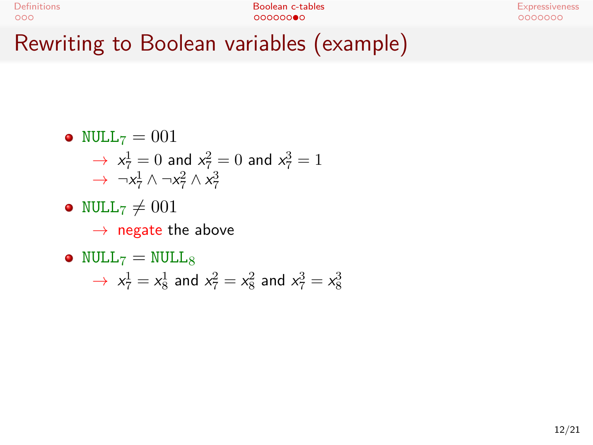| Definitions                              | Boolean c-tables | <b>Expressiveness</b> |
|------------------------------------------|------------------|-----------------------|
| 000                                      | 000000           | 0000000               |
| Rewriting to Boolean variables (example) |                  |                       |

 $\bullet$  NULL<sub>7</sub> = 001

$$
\rightarrow x_7^1 = 0 \text{ and } x_7^2 = 0 \text{ and } x_7^3 = 1
$$
  

$$
\rightarrow \neg x_7^1 \land \neg x_7^2 \land x_7^3
$$

• NULL<sub>7</sub>  $\neq$  001 *→* negate the above

#### $NULL_7 = NULL_8$

 $\rightarrow x_7^1 = x_8^1$  and  $x_7^2 = x_8^2$  and  $x_7^3 = x_8^3$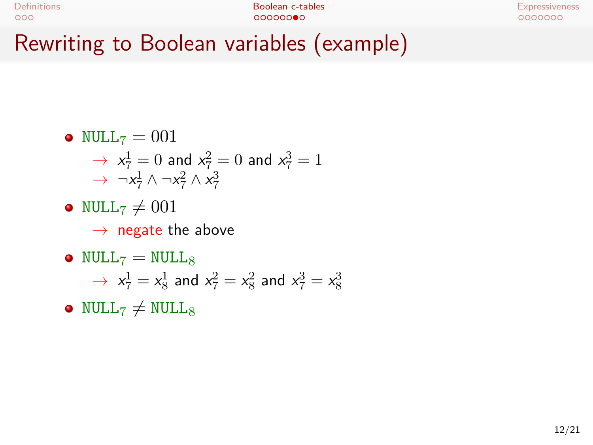|                    | $D$ annitina ta Daalaan naujahlaa (aramala) |                |
|--------------------|---------------------------------------------|----------------|
| 000                | 00000000                                    | 0000000        |
| <b>Definitions</b> | Boolean c-tables                            | Expressiveness |
|                    |                                             |                |

Rewriting to Boolean variables (example)

- $\bullet$  NULL<sub>7</sub> = 001
	- $\rightarrow x_7^1 = 0$  and  $x_7^2 = 0$  and  $x_7^3 = 1$  $\rightarrow \neg x_7^1 \wedge \neg x_7^2 \wedge x_7^3$
- NULL<sub>7</sub>  $\neq$  001 *→* negate the above
- $\bullet$  NULL<sub>7</sub> = NULL<sub>8</sub>  $\rightarrow x_7^1 = x_8^1$  and  $x_7^2 = x_8^2$  and  $x_7^3 = x_8^3$
- NULL<sub>7</sub>  $\neq$  NULL<sub>8</sub>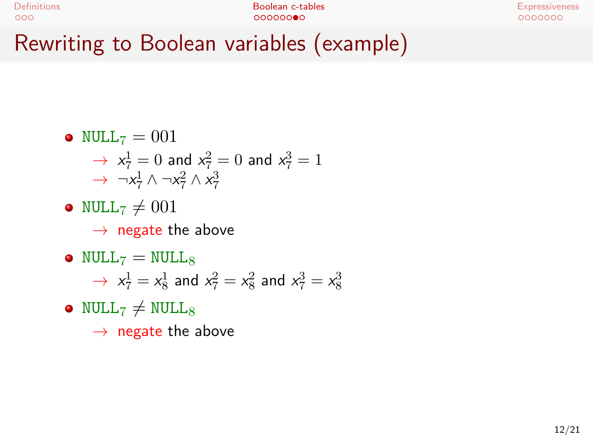|             | $\mathsf{D}_{\mathsf{a}}$ is in the $\mathsf{D}_{\mathsf{a}}$ is been considered as $\langle$ associated as |                       |
|-------------|-------------------------------------------------------------------------------------------------------------|-----------------------|
| 000         | 00000000                                                                                                    | 0000000               |
| Definitions | Boolean c-tables                                                                                            | <b>Expressiveness</b> |
|             |                                                                                                             |                       |

Rewriting to Boolean variables (example)

- $\bullet$  NULL<sub>7</sub> = 001
	- $\rightarrow x_7^1 = 0$  and  $x_7^2 = 0$  and  $x_7^3 = 1$  $\rightarrow \neg x_7^1 \land \neg x_7^2 \land x_7^3$
- NULL<sub>7</sub>  $\neq$  001 *→* negate the above
- $\bullet$  NULL<sub>7</sub> = NULL<sub>8</sub>  $\rightarrow x_7^1 = x_8^1$  and  $x_7^2 = x_8^2$  and  $x_7^3 = x_8^3$
- NULL<sub>7</sub>  $\neq$  NULL<sub>8</sub> *→* negate the above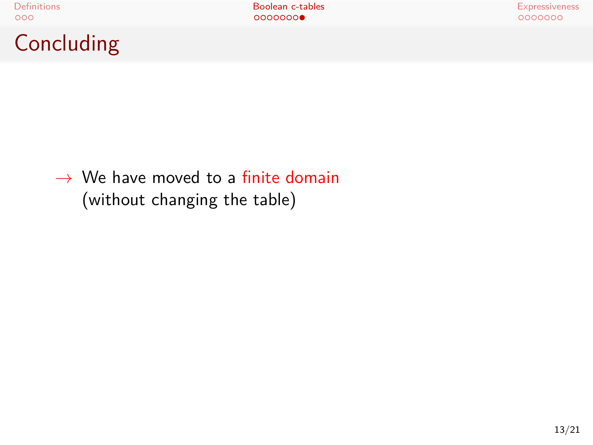Concluding

*→* We have moved to a finite domain (without changing the table)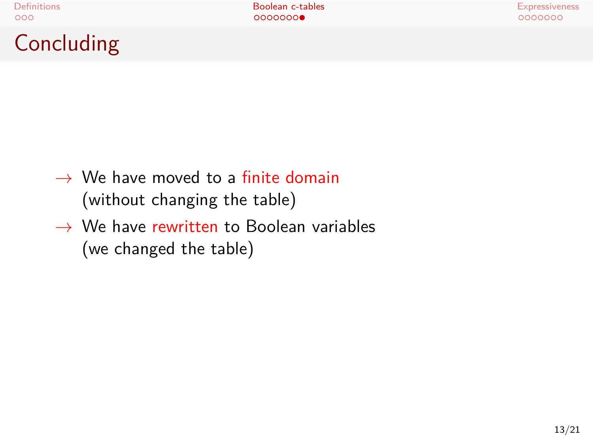**Concluding** 

Definitions Boolean c-tables Expressiveness

*→* We have moved to a finite domain

(without changing the table)

*→* We have rewritten to Boolean variables (we changed the table)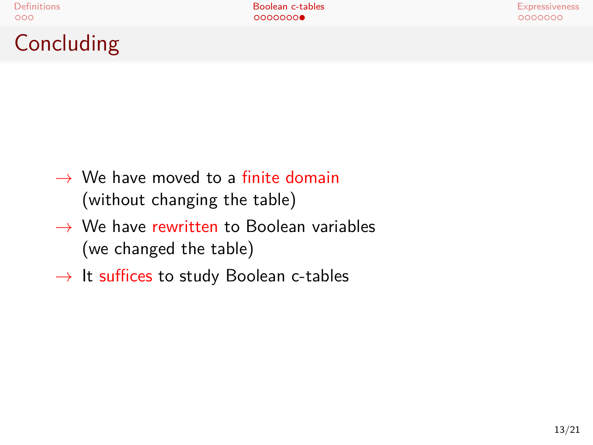Concluding

Definitions Boolean c-tables Expressiveness

*→* We have moved to a finite domain

(without changing the table)

- *→* We have rewritten to Boolean variables (we changed the table)
- *→* It suffices to study Boolean c-tables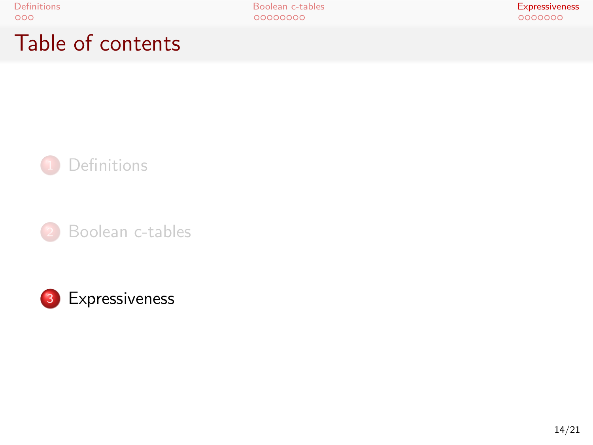Table of contents



3 Expressiveness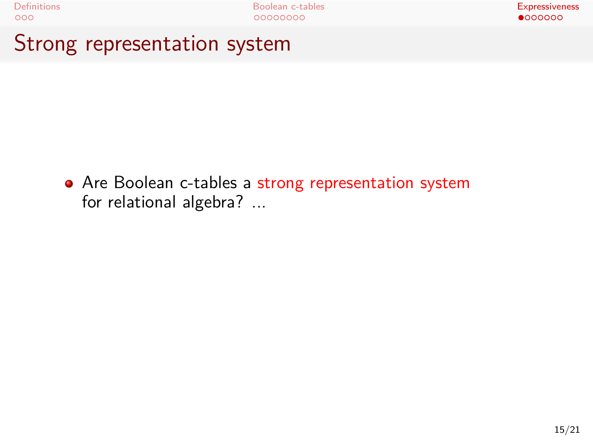Strong representation system

• Are Boolean c-tables a strong representation system for relational algebra? ...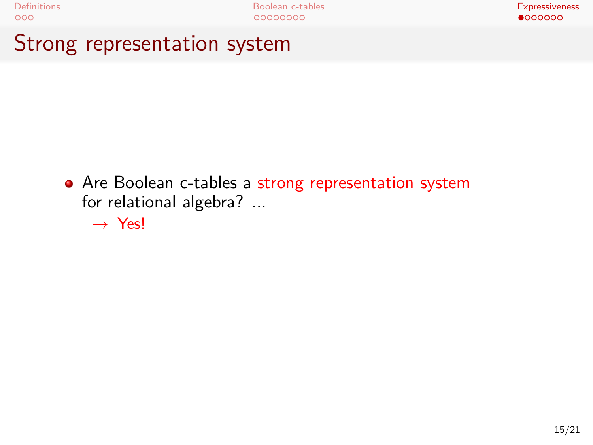Strong representation system

• Are Boolean c-tables a strong representation system for relational algebra? ...

*→* Yes!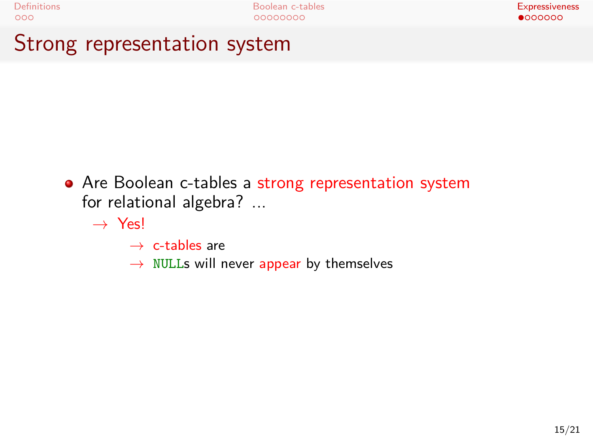Strong representation system

• Are Boolean c-tables a strong representation system for relational algebra? ...

*→* Yes!

- *→* c-tables are
- *→* NULLs will never appear by themselves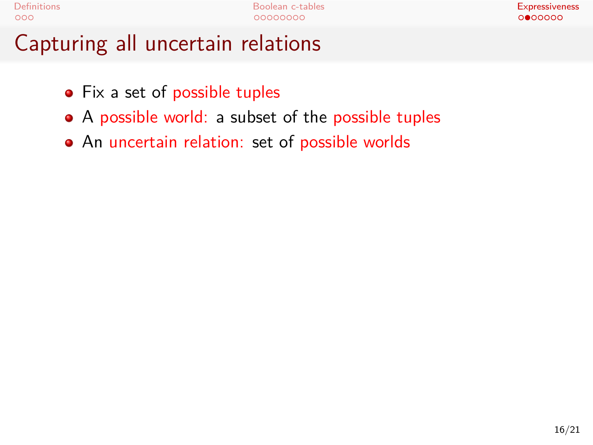# Capturing all uncertain relations

- Fix a set of possible tuples
- A possible world: a subset of the possible tuples
- An uncertain relation: set of possible worlds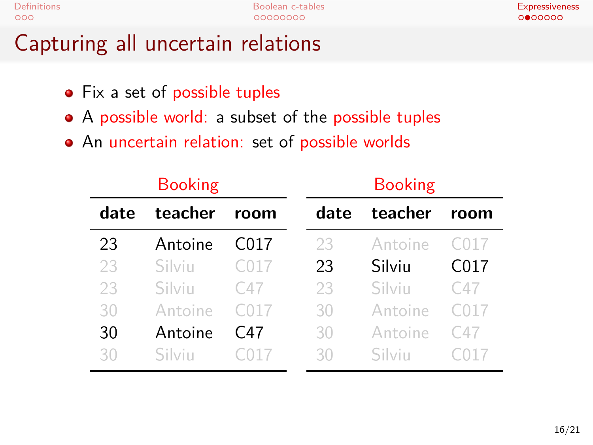# Capturing all uncertain relations

- Fix a set of possible tuples
- A possible world: a subset of the possible tuples
- An uncertain relation: set of possible worlds

| <b>Booking</b> |         |      |      | <b>Booking</b> |                  |
|----------------|---------|------|------|----------------|------------------|
| date           | teacher | room | date | teacher        | room             |
| 23             | Antoine | C017 | 23   | Antoine        | C017             |
| 23             | Silviu  | C017 | 23   | Silviu         | C <sub>017</sub> |
| 23             | Silviu  | C47  | 23   | Silviu         | C47              |
| 30             | Antoine | C017 | 30   | Antoine        | C017             |
| 30             | Antoine | C47  | 30   | Antoine        | C47              |
| 30             | Silvin  |      | 30   | Silvin         |                  |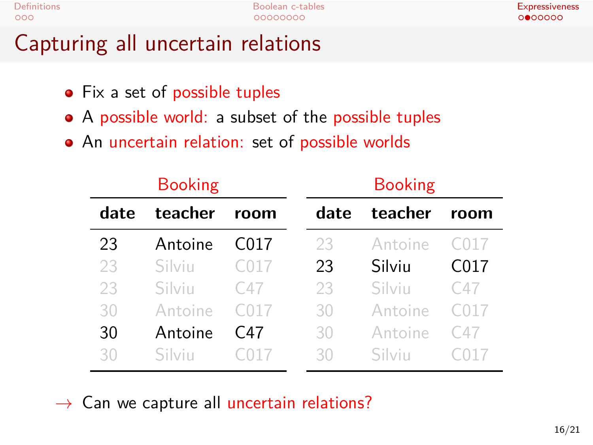# Capturing all uncertain relations

- Fix a set of possible tuples
- A possible world: a subset of the possible tuples
- An uncertain relation: set of possible worlds

| <b>Booking</b> |         |                  |      | <b>Booking</b> |      |  |  |
|----------------|---------|------------------|------|----------------|------|--|--|
| date           | teacher | room             | date | teacher        | room |  |  |
| 23             | Antoine | C <sub>017</sub> | 23   | Antoine        | C017 |  |  |
| 23             | Silviu  | C017             | 23   | Silviu         | C017 |  |  |
| 23             | Silviu  | C47              | 23   | Silviu         | C47  |  |  |
| 30             | Antoine | C017             | 30   | Antoine        | C017 |  |  |
| 30             | Antoine | C47              | 30   | Antoine        | C47  |  |  |
| 30             | Silvin  |                  | 30   | Silvin         |      |  |  |

*→* Can we capture all uncertain relations?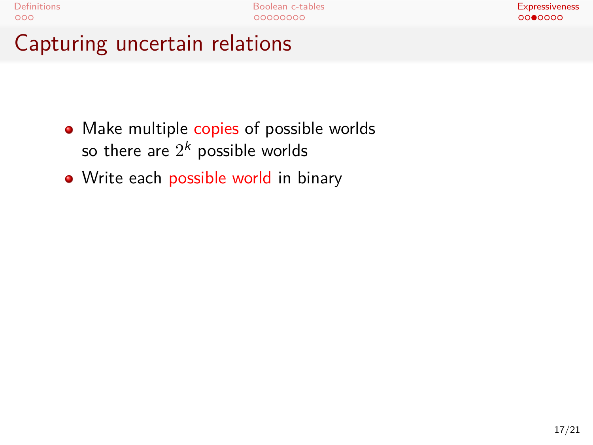# Capturing uncertain relations

- Make multiple copies of possible worlds so there are  $2^{\bm{k}}$  possible worlds
- Write each possible world in binary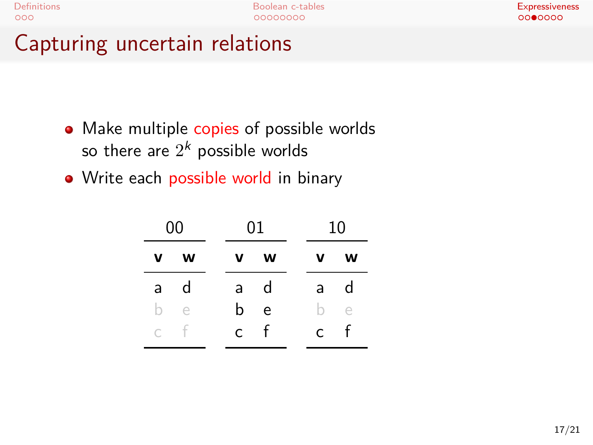# Capturing uncertain relations

- Make multiple copies of possible worlds so there are  $2^{\bm{k}}$  possible worlds
- Write each possible world in binary

|           | 00 |              | 01 |              | 10         |
|-----------|----|--------------|----|--------------|------------|
| v         | w  | v            | w  | v            | w          |
| a         | d  | a            | d  | a            | d          |
| h         | e  | b.           | e  | h.           | $\epsilon$ |
| $\subset$ | f  | $\mathsf{C}$ | f  | $\mathsf{C}$ | f          |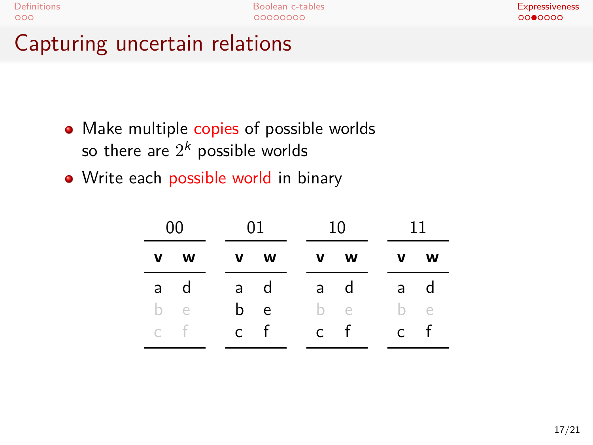# Capturing uncertain relations

- Make multiple copies of possible worlds so there are  $2^{\bm{k}}$  possible worlds
- Write each possible world in binary

|     | 00  |              | 01  | 10 I         |              | 11           |     |
|-----|-----|--------------|-----|--------------|--------------|--------------|-----|
|     | v w | $\mathbf{v}$ | W   | $\mathbf{V}$ | W            | v.           | W   |
| a - | d   | a -          | d   | a            | d            | a            | d   |
|     | b e |              | b e |              | b e          |              | b e |
| c f |     | $\mathsf{C}$ | f   | $\mathsf{C}$ | $\mathbf{f}$ | $\mathsf{C}$ | f   |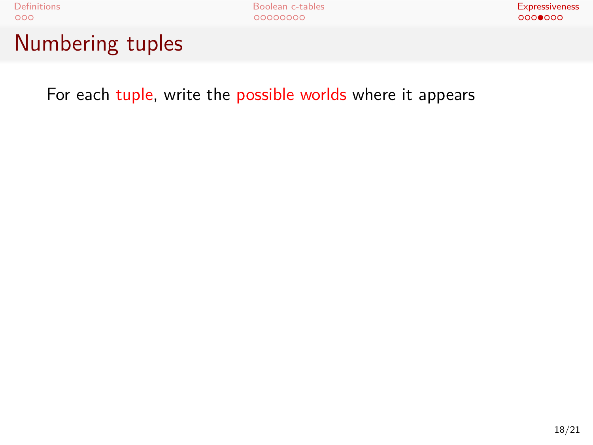Numbering tuples

For each tuple, write the possible worlds where it appears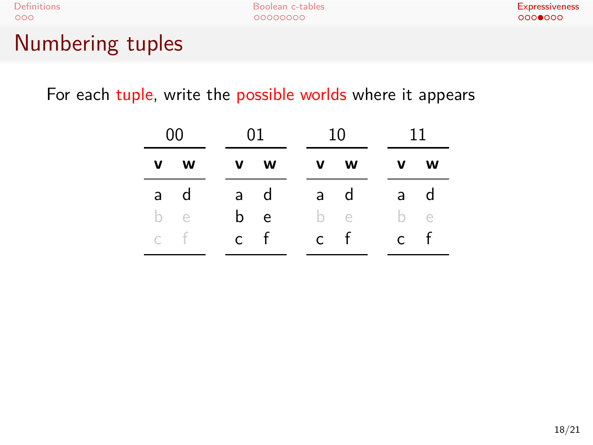# Numbering tuples

For each tuple, write the possible worlds where it appears

| 00  | -01 |     | 10 |     | 11           |              |
|-----|-----|-----|----|-----|--------------|--------------|
| v w |     | v w |    | v w |              | v w          |
| a d | a d |     |    | a d |              | a d          |
| b e | b e |     |    | b e |              | b e          |
| c f | c f |     |    | c f | $\mathsf{C}$ | $\mathbf{f}$ |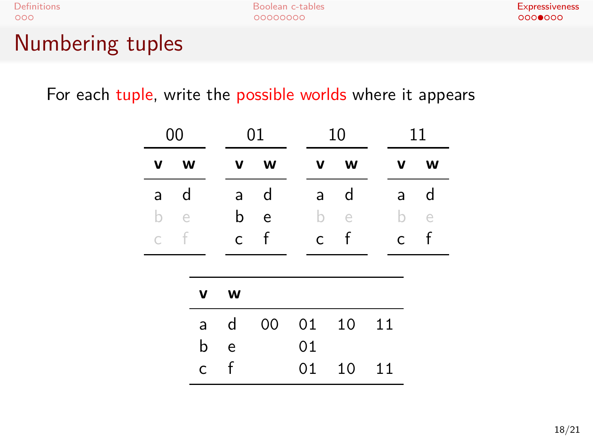# Numbering tuples

For each tuple, write the possible worlds where it appears

|   | 00        |   |              | 01 |              | 10        |              | 11        |
|---|-----------|---|--------------|----|--------------|-----------|--------------|-----------|
| v | w         |   | v            | W  | v            | W         | v            | W         |
| a | d         |   | a            | d  | a            | d         | a            | d         |
| b | $\ominus$ |   | b            | e  | b            | $\ominus$ | b            | $\ominus$ |
| C | f         |   | $\mathsf{C}$ | f  | $\mathsf{C}$ | f         | $\mathsf{C}$ | f         |
|   |           |   |              |    |              |           |              |           |
|   |           | v | W            |    |              |           |              |           |
|   |           | a | d            | 00 | 01           | 10        | 11           |           |
|   |           | b | e            |    | 01           |           |              |           |
|   |           | C | f            |    | 01           | 10        | 11           |           |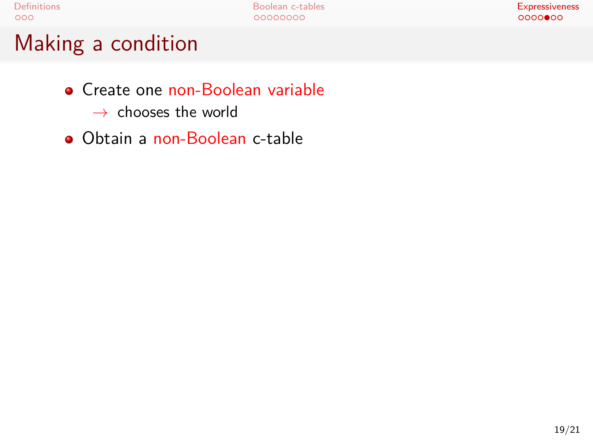Making a condition

- **•** Create one non-Boolean variable *→* chooses the world
- Obtain a non-Boolean c-table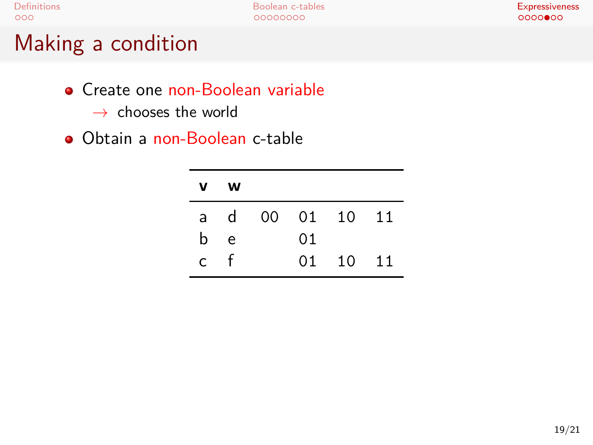Making a condition

- **•** Create one non-Boolean variable *→* chooses the world
- Obtain a non-Boolean c-table

| v  | w            |    |             |       |
|----|--------------|----|-------------|-------|
| a  | $\mathsf{d}$ |    | 00 01 10 11 |       |
| b  | e            | 01 |             |       |
| C. |              | 01 | - 10        | $-11$ |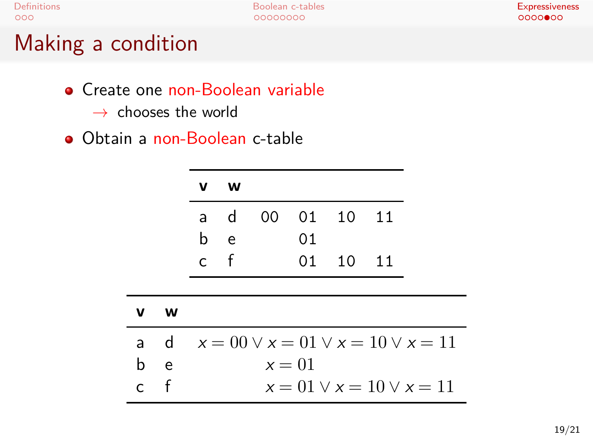Making a condition

- **•** Create one non-Boolean variable *→* chooses the world
- Obtain a non-Boolean c-table

| v  | w            |          |          |       |
|----|--------------|----------|----------|-------|
| a  | $\mathsf{d}$ | 00 01 10 |          | $-11$ |
| b. | e            | 01       |          |       |
| C. |              |          | 01 10 11 |       |

| <b>V</b> | w |                                                  |
|----------|---|--------------------------------------------------|
|          |   | a d $x = 00 \lor x = 01 \lor x = 10 \lor x = 11$ |
| b e      |   | $x=01$                                           |
| c f      |   | $x = 01 \vee x = 10 \vee x = 11$                 |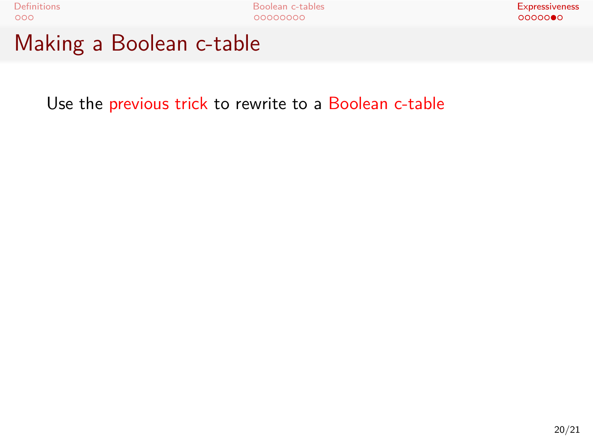Definitions Boolean c-tables Expressiveness Making a Boolean c-table

Use the previous trick to rewrite to a Boolean c-table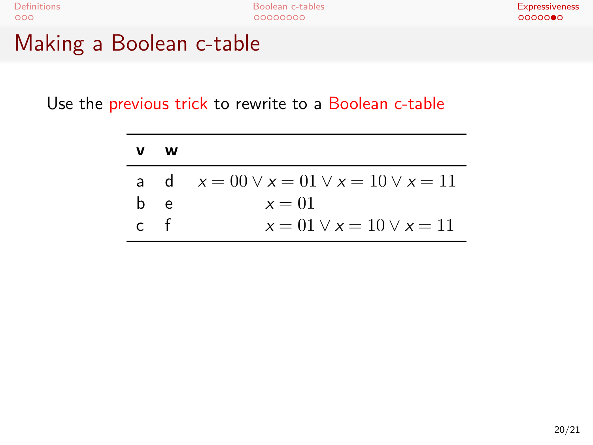Making a Boolean c-table

Use the previous trick to rewrite to a Boolean c-table

| v   | w   |                                                  |
|-----|-----|--------------------------------------------------|
|     |     | a d $x = 00 \lor x = 01 \lor x = 10 \lor x = 11$ |
|     | b e | $x=01$                                           |
| c t |     | $x = 01 \vee x = 10 \vee x = 11$                 |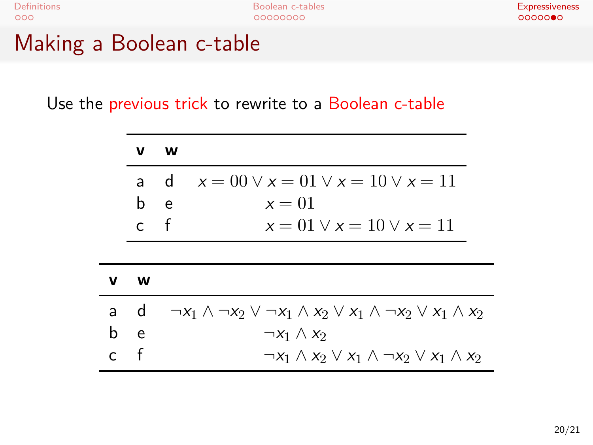Making a Boolean c-table

Use the previous trick to rewrite to a Boolean c-table

|              | v            | w                                                                                                |
|--------------|--------------|--------------------------------------------------------------------------------------------------|
|              | a d          | $x = 00 \vee x = 01 \vee x = 10 \vee x = 11$                                                     |
|              | b            | $x=01$<br>e                                                                                      |
|              | $\mathsf{C}$ | $-$ f<br>$x = 01 \vee x = 10 \vee x = 11$                                                        |
|              |              |                                                                                                  |
| v            | W            |                                                                                                  |
|              | a d          | $\neg x_1 \wedge \neg x_2 \vee \neg x_1 \wedge x_2 \vee x_1 \wedge \neg x_2 \vee x_1 \wedge x_2$ |
| b            | e.           | $\neg x_1 \wedge x_2$                                                                            |
| $\mathsf{C}$ | f            | $\neg x_1 \wedge x_2 \vee x_1 \wedge \neg x_2 \vee x_1 \wedge x_2$                               |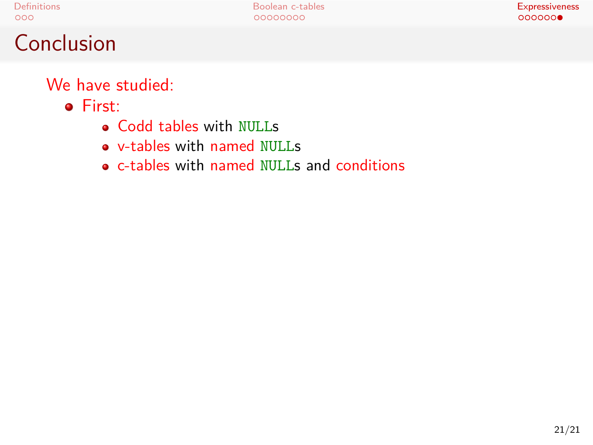#### Conclusion

We have studied:

- First:
	- Codd tables with NULLs
	- v-tables with named NULLs
	- c-tables with named NULLs and conditions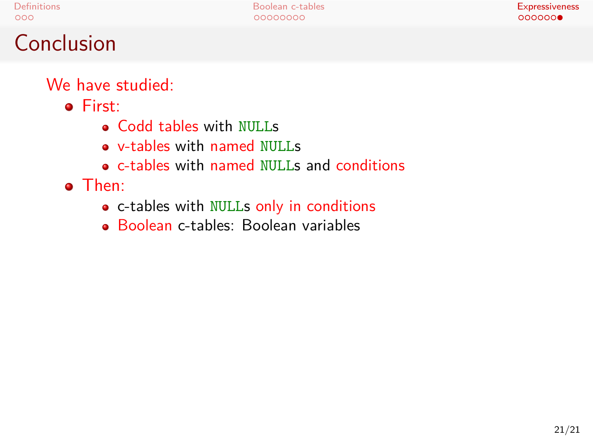#### **Conclusion**

We have studied:

- First:
	- Codd tables with NULLs
	- v-tables with named NULLs
	- c-tables with named NULLs and conditions
- Then:
	- c-tables with NULLs only in conditions
	- Boolean c-tables: Boolean variables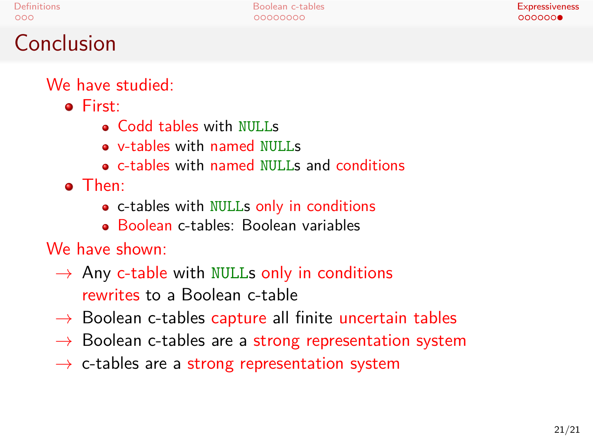#### **Conclusion**

We have studied:

- **•** First:
	- Codd tables with NULLs
	- v-tables with named NULLs
	- c-tables with named NULLs and conditions
- Then:
	- c-tables with NULLs only in conditions
	- Boolean c-tables: Boolean variables

#### We have shown:

- *→* Any c-table with NULLs only in conditions rewrites to a Boolean c-table
- *→* Boolean c-tables capture all finite uncertain tables
- *→* Boolean c-tables are a strong representation system
- *→* c-tables are a strong representation system